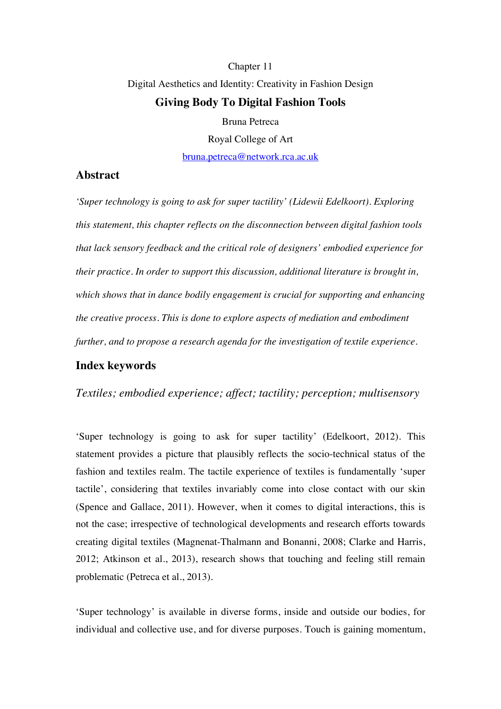# Chapter 11 Digital Aesthetics and Identity: Creativity in Fashion Design **Giving Body To Digital Fashion Tools**

Bruna Petreca Royal College of Art bruna.petreca@network.rca.ac.uk

# **Abstract**

*'Super technology is going to ask for super tactility' (Lidewii Edelkoort). Exploring this statement, this chapter reflects on the disconnection between digital fashion tools that lack sensory feedback and the critical role of designers' embodied experience for their practice. In order to support this discussion, additional literature is brought in, which shows that in dance bodily engagement is crucial for supporting and enhancing the creative process. This is done to explore aspects of mediation and embodiment further, and to propose a research agenda for the investigation of textile experience.*

# **Index keywords**

*Textiles; embodied experience; affect; tactility; perception; multisensory*

'Super technology is going to ask for super tactility' (Edelkoort, 2012). This statement provides a picture that plausibly reflects the socio-technical status of the fashion and textiles realm. The tactile experience of textiles is fundamentally 'super tactile', considering that textiles invariably come into close contact with our skin (Spence and Gallace, 2011). However, when it comes to digital interactions, this is not the case; irrespective of technological developments and research efforts towards creating digital textiles (Magnenat-Thalmann and Bonanni, 2008; Clarke and Harris, 2012; Atkinson et al., 2013), research shows that touching and feeling still remain problematic (Petreca et al., 2013).

'Super technology' is available in diverse forms, inside and outside our bodies, for individual and collective use, and for diverse purposes. Touch is gaining momentum,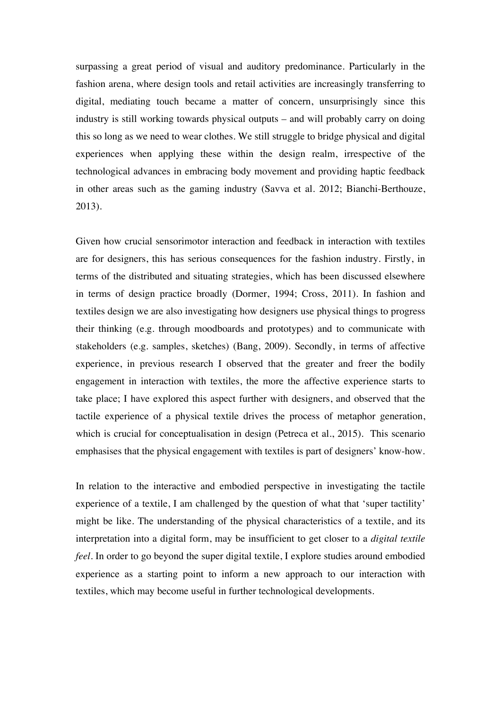surpassing a great period of visual and auditory predominance. Particularly in the fashion arena, where design tools and retail activities are increasingly transferring to digital, mediating touch became a matter of concern, unsurprisingly since this industry is still working towards physical outputs – and will probably carry on doing this so long as we need to wear clothes. We still struggle to bridge physical and digital experiences when applying these within the design realm, irrespective of the technological advances in embracing body movement and providing haptic feedback in other areas such as the gaming industry (Savva et al. 2012; Bianchi-Berthouze, 2013).

Given how crucial sensorimotor interaction and feedback in interaction with textiles are for designers, this has serious consequences for the fashion industry. Firstly, in terms of the distributed and situating strategies, which has been discussed elsewhere in terms of design practice broadly (Dormer, 1994; Cross, 2011). In fashion and textiles design we are also investigating how designers use physical things to progress their thinking (e.g. through moodboards and prototypes) and to communicate with stakeholders (e.g. samples, sketches) (Bang, 2009). Secondly, in terms of affective experience, in previous research I observed that the greater and freer the bodily engagement in interaction with textiles, the more the affective experience starts to take place; I have explored this aspect further with designers, and observed that the tactile experience of a physical textile drives the process of metaphor generation, which is crucial for conceptualisation in design (Petreca et al., 2015). This scenario emphasises that the physical engagement with textiles is part of designers' know-how.

In relation to the interactive and embodied perspective in investigating the tactile experience of a textile, I am challenged by the question of what that 'super tactility' might be like. The understanding of the physical characteristics of a textile, and its interpretation into a digital form, may be insufficient to get closer to a *digital textile feel*. In order to go beyond the super digital textile, I explore studies around embodied experience as a starting point to inform a new approach to our interaction with textiles, which may become useful in further technological developments.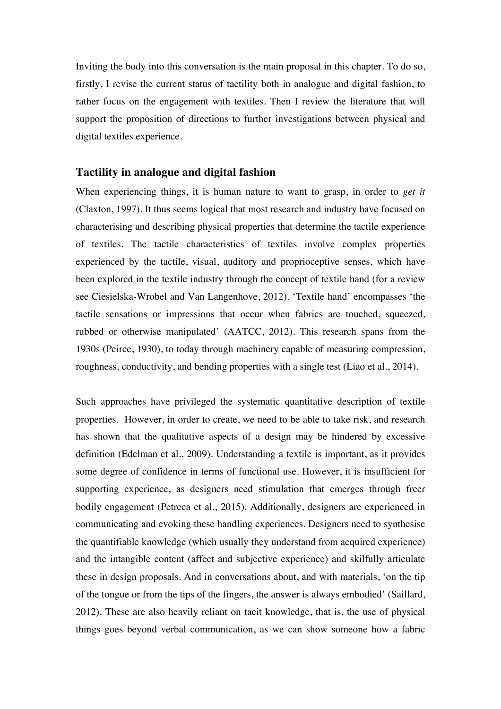Inviting the body into this conversation is the main proposal in this chapter. To do so, firstly, I revise the current status of tactility both in analogue and digital fashion, to rather focus on the engagement with textiles. Then I review the literature that will support the proposition of directions to further investigations between physical and digital textiles experience.

## **Tactility in analogue and digital fashion**

When experiencing things, it is human nature to want to grasp, in order to *get it* (Claxton, 1997). It thus seems logical that most research and industry have focused on characterising and describing physical properties that determine the tactile experience of textiles. The tactile characteristics of textiles involve complex properties experienced by the tactile, visual, auditory and proprioceptive senses, which have been explored in the textile industry through the concept of textile hand (for a review see Ciesielska-Wrobel and Van Langenhove, 2012). 'Textile hand' encompasses 'the tactile sensations or impressions that occur when fabrics are touched, squeezed, rubbed or otherwise manipulated' (AATCC, 2012). This research spans from the 1930s (Peirce, 1930), to today through machinery capable of measuring compression, roughness, conductivity, and bending properties with a single test (Liao et al., 2014).

Such approaches have privileged the systematic quantitative description of textile properties. However, in order to create, we need to be able to take risk, and research has shown that the qualitative aspects of a design may be hindered by excessive definition (Edelman et al., 2009). Understanding a textile is important, as it provides some degree of confidence in terms of functional use. However, it is insufficient for supporting experience, as designers need stimulation that emerges through freer bodily engagement (Petreca et al., 2015). Additionally, designers are experienced in communicating and evoking these handling experiences. Designers need to synthesise the quantifiable knowledge (which usually they understand from acquired experience) and the intangible content (affect and subjective experience) and skilfully articulate these in design proposals. And in conversations about, and with materials, 'on the tip of the tongue or from the tips of the fingers, the answer is always embodied' (Saillard, 2012). These are also heavily reliant on tacit knowledge, that is, the use of physical things goes beyond verbal communication, as we can show someone how a fabric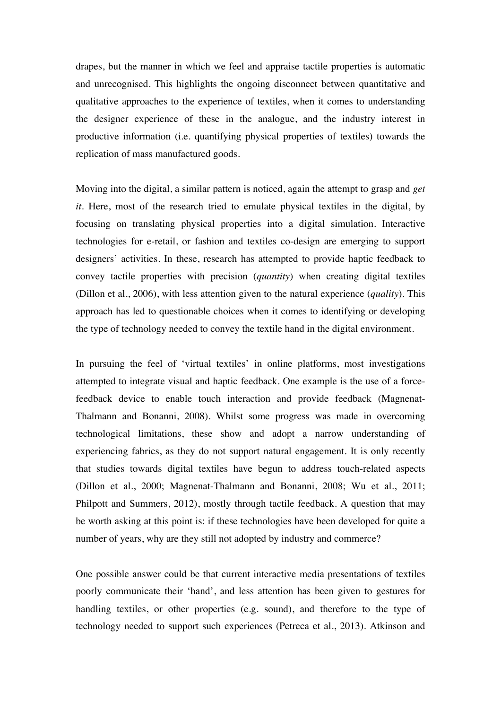drapes, but the manner in which we feel and appraise tactile properties is automatic and unrecognised. This highlights the ongoing disconnect between quantitative and qualitative approaches to the experience of textiles, when it comes to understanding the designer experience of these in the analogue, and the industry interest in productive information (i.e. quantifying physical properties of textiles) towards the replication of mass manufactured goods.

Moving into the digital, a similar pattern is noticed, again the attempt to grasp and *get it*. Here, most of the research tried to emulate physical textiles in the digital, by focusing on translating physical properties into a digital simulation. Interactive technologies for e-retail, or fashion and textiles co-design are emerging to support designers' activities. In these, research has attempted to provide haptic feedback to convey tactile properties with precision (*quantity*) when creating digital textiles (Dillon et al., 2006), with less attention given to the natural experience (*quality*). This approach has led to questionable choices when it comes to identifying or developing the type of technology needed to convey the textile hand in the digital environment.

In pursuing the feel of 'virtual textiles' in online platforms, most investigations attempted to integrate visual and haptic feedback. One example is the use of a forcefeedback device to enable touch interaction and provide feedback (Magnenat-Thalmann and Bonanni, 2008). Whilst some progress was made in overcoming technological limitations, these show and adopt a narrow understanding of experiencing fabrics, as they do not support natural engagement. It is only recently that studies towards digital textiles have begun to address touch-related aspects (Dillon et al., 2000; Magnenat-Thalmann and Bonanni, 2008; Wu et al., 2011; Philpott and Summers, 2012), mostly through tactile feedback. A question that may be worth asking at this point is: if these technologies have been developed for quite a number of years, why are they still not adopted by industry and commerce?

One possible answer could be that current interactive media presentations of textiles poorly communicate their 'hand', and less attention has been given to gestures for handling textiles, or other properties (e.g. sound), and therefore to the type of technology needed to support such experiences (Petreca et al., 2013). Atkinson and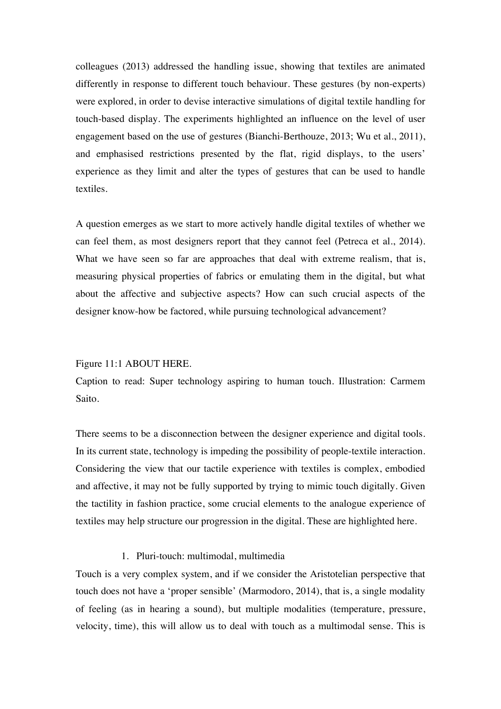colleagues (2013) addressed the handling issue, showing that textiles are animated differently in response to different touch behaviour. These gestures (by non-experts) were explored, in order to devise interactive simulations of digital textile handling for touch-based display. The experiments highlighted an influence on the level of user engagement based on the use of gestures (Bianchi-Berthouze, 2013; Wu et al., 2011), and emphasised restrictions presented by the flat, rigid displays, to the users' experience as they limit and alter the types of gestures that can be used to handle textiles.

A question emerges as we start to more actively handle digital textiles of whether we can feel them, as most designers report that they cannot feel (Petreca et al., 2014). What we have seen so far are approaches that deal with extreme realism, that is, measuring physical properties of fabrics or emulating them in the digital, but what about the affective and subjective aspects? How can such crucial aspects of the designer know-how be factored, while pursuing technological advancement?

#### Figure 11:1 ABOUT HERE.

Caption to read: Super technology aspiring to human touch. Illustration: Carmem Saito.

There seems to be a disconnection between the designer experience and digital tools. In its current state, technology is impeding the possibility of people-textile interaction. Considering the view that our tactile experience with textiles is complex, embodied and affective, it may not be fully supported by trying to mimic touch digitally. Given the tactility in fashion practice, some crucial elements to the analogue experience of textiles may help structure our progression in the digital. These are highlighted here.

1. Pluri-touch: multimodal, multimedia

Touch is a very complex system, and if we consider the Aristotelian perspective that touch does not have a 'proper sensible' (Marmodoro, 2014), that is, a single modality of feeling (as in hearing a sound), but multiple modalities (temperature, pressure, velocity, time), this will allow us to deal with touch as a multimodal sense. This is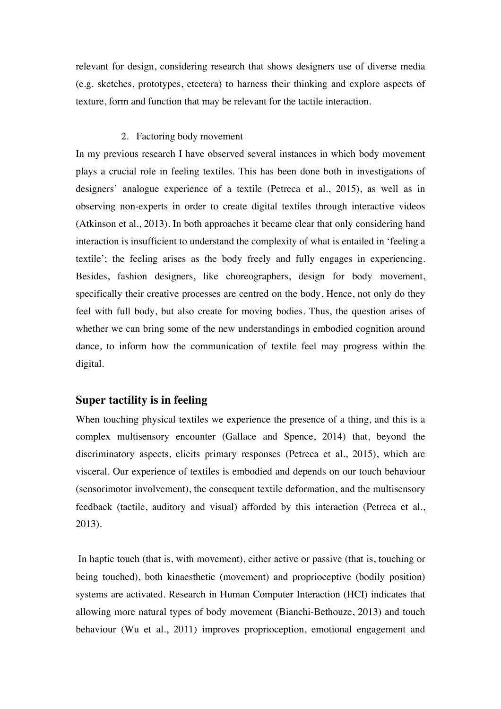relevant for design, considering research that shows designers use of diverse media (e.g. sketches, prototypes, etcetera) to harness their thinking and explore aspects of texture, form and function that may be relevant for the tactile interaction.

#### 2. Factoring body movement

In my previous research I have observed several instances in which body movement plays a crucial role in feeling textiles. This has been done both in investigations of designers' analogue experience of a textile (Petreca et al., 2015), as well as in observing non-experts in order to create digital textiles through interactive videos (Atkinson et al., 2013). In both approaches it became clear that only considering hand interaction is insufficient to understand the complexity of what is entailed in 'feeling a textile'; the feeling arises as the body freely and fully engages in experiencing. Besides, fashion designers, like choreographers, design for body movement, specifically their creative processes are centred on the body. Hence, not only do they feel with full body, but also create for moving bodies. Thus, the question arises of whether we can bring some of the new understandings in embodied cognition around dance, to inform how the communication of textile feel may progress within the digital.

# **Super tactility is in feeling**

When touching physical textiles we experience the presence of a thing, and this is a complex multisensory encounter (Gallace and Spence, 2014) that, beyond the discriminatory aspects, elicits primary responses (Petreca et al., 2015), which are visceral. Our experience of textiles is embodied and depends on our touch behaviour (sensorimotor involvement), the consequent textile deformation, and the multisensory feedback (tactile, auditory and visual) afforded by this interaction (Petreca et al., 2013).

In haptic touch (that is, with movement), either active or passive (that is, touching or being touched), both kinaesthetic (movement) and proprioceptive (bodily position) systems are activated. Research in Human Computer Interaction (HCI) indicates that allowing more natural types of body movement (Bianchi-Bethouze, 2013) and touch behaviour (Wu et al., 2011) improves proprioception, emotional engagement and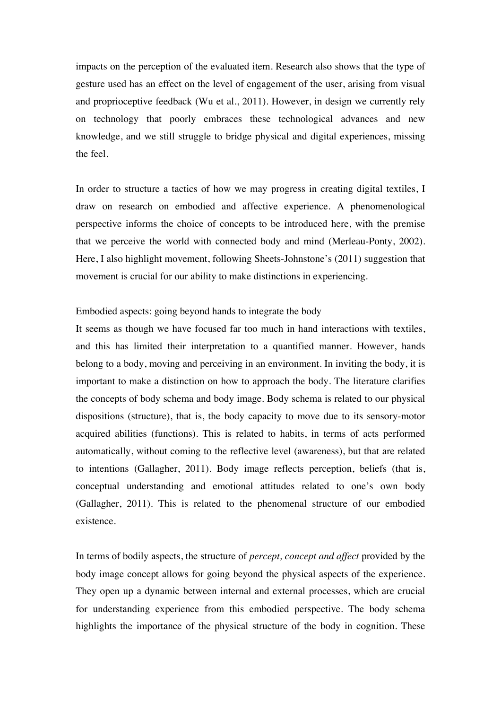impacts on the perception of the evaluated item. Research also shows that the type of gesture used has an effect on the level of engagement of the user, arising from visual and proprioceptive feedback (Wu et al., 2011). However, in design we currently rely on technology that poorly embraces these technological advances and new knowledge, and we still struggle to bridge physical and digital experiences, missing the feel.

In order to structure a tactics of how we may progress in creating digital textiles, I draw on research on embodied and affective experience. A phenomenological perspective informs the choice of concepts to be introduced here, with the premise that we perceive the world with connected body and mind (Merleau-Ponty, 2002). Here, I also highlight movement, following Sheets-Johnstone's (2011) suggestion that movement is crucial for our ability to make distinctions in experiencing.

Embodied aspects: going beyond hands to integrate the body

It seems as though we have focused far too much in hand interactions with textiles, and this has limited their interpretation to a quantified manner. However, hands belong to a body, moving and perceiving in an environment. In inviting the body, it is important to make a distinction on how to approach the body. The literature clarifies the concepts of body schema and body image. Body schema is related to our physical dispositions (structure), that is, the body capacity to move due to its sensory-motor acquired abilities (functions). This is related to habits, in terms of acts performed automatically, without coming to the reflective level (awareness), but that are related to intentions (Gallagher, 2011). Body image reflects perception, beliefs (that is, conceptual understanding and emotional attitudes related to one's own body (Gallagher, 2011). This is related to the phenomenal structure of our embodied existence.

In terms of bodily aspects, the structure of *percept, concept and affect* provided by the body image concept allows for going beyond the physical aspects of the experience. They open up a dynamic between internal and external processes, which are crucial for understanding experience from this embodied perspective. The body schema highlights the importance of the physical structure of the body in cognition. These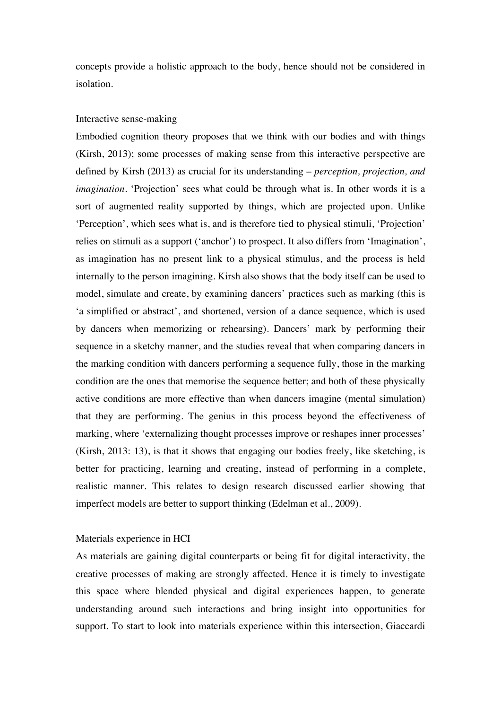concepts provide a holistic approach to the body, hence should not be considered in isolation.

#### Interactive sense-making

Embodied cognition theory proposes that we think with our bodies and with things (Kirsh, 2013); some processes of making sense from this interactive perspective are defined by Kirsh (2013) as crucial for its understanding – *perception, projection, and imagination*. 'Projection' sees what could be through what is. In other words it is a sort of augmented reality supported by things, which are projected upon. Unlike 'Perception', which sees what is, and is therefore tied to physical stimuli, 'Projection' relies on stimuli as a support ('anchor') to prospect. It also differs from 'Imagination', as imagination has no present link to a physical stimulus, and the process is held internally to the person imagining. Kirsh also shows that the body itself can be used to model, simulate and create, by examining dancers' practices such as marking (this is 'a simplified or abstract', and shortened, version of a dance sequence, which is used by dancers when memorizing or rehearsing). Dancers' mark by performing their sequence in a sketchy manner, and the studies reveal that when comparing dancers in the marking condition with dancers performing a sequence fully, those in the marking condition are the ones that memorise the sequence better; and both of these physically active conditions are more effective than when dancers imagine (mental simulation) that they are performing. The genius in this process beyond the effectiveness of marking, where 'externalizing thought processes improve or reshapes inner processes' (Kirsh, 2013: 13), is that it shows that engaging our bodies freely, like sketching, is better for practicing, learning and creating, instead of performing in a complete, realistic manner. This relates to design research discussed earlier showing that imperfect models are better to support thinking (Edelman et al., 2009).

#### Materials experience in HCI

As materials are gaining digital counterparts or being fit for digital interactivity, the creative processes of making are strongly affected. Hence it is timely to investigate this space where blended physical and digital experiences happen, to generate understanding around such interactions and bring insight into opportunities for support. To start to look into materials experience within this intersection, Giaccardi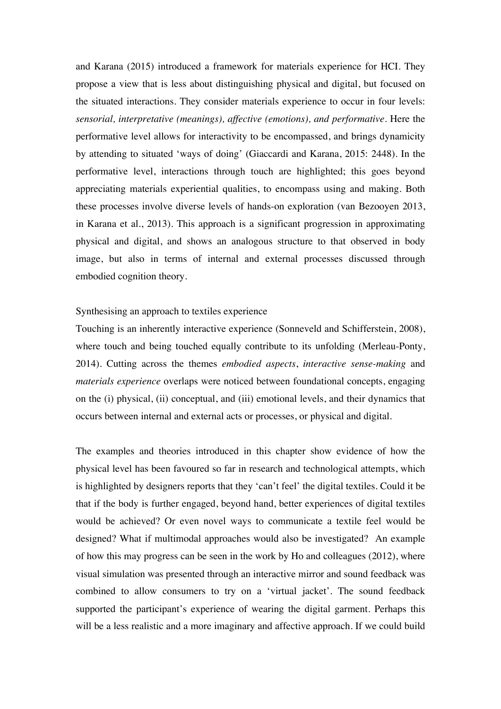and Karana (2015) introduced a framework for materials experience for HCI. They propose a view that is less about distinguishing physical and digital, but focused on the situated interactions. They consider materials experience to occur in four levels: *sensorial, interpretative (meanings), affective (emotions), and performative*. Here the performative level allows for interactivity to be encompassed, and brings dynamicity by attending to situated 'ways of doing' (Giaccardi and Karana, 2015: 2448). In the performative level, interactions through touch are highlighted; this goes beyond appreciating materials experiential qualities, to encompass using and making. Both these processes involve diverse levels of hands-on exploration (van Bezooyen 2013, in Karana et al., 2013). This approach is a significant progression in approximating physical and digital, and shows an analogous structure to that observed in body image, but also in terms of internal and external processes discussed through embodied cognition theory.

#### Synthesising an approach to textiles experience

Touching is an inherently interactive experience (Sonneveld and Schifferstein, 2008), where touch and being touched equally contribute to its unfolding (Merleau-Ponty, 2014). Cutting across the themes *embodied aspects*, *interactive sense-making* and *materials experience* overlaps were noticed between foundational concepts, engaging on the (i) physical, (ii) conceptual, and (iii) emotional levels, and their dynamics that occurs between internal and external acts or processes, or physical and digital.

The examples and theories introduced in this chapter show evidence of how the physical level has been favoured so far in research and technological attempts, which is highlighted by designers reports that they 'can't feel' the digital textiles. Could it be that if the body is further engaged, beyond hand, better experiences of digital textiles would be achieved? Or even novel ways to communicate a textile feel would be designed? What if multimodal approaches would also be investigated? An example of how this may progress can be seen in the work by Ho and colleagues (2012), where visual simulation was presented through an interactive mirror and sound feedback was combined to allow consumers to try on a 'virtual jacket'. The sound feedback supported the participant's experience of wearing the digital garment. Perhaps this will be a less realistic and a more imaginary and affective approach. If we could build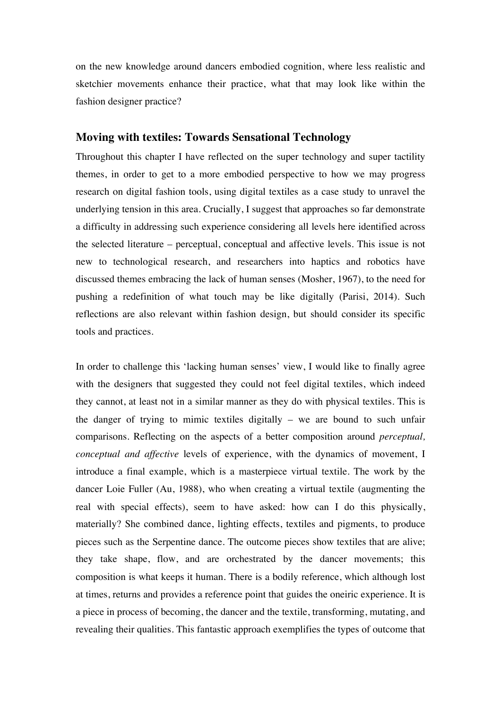on the new knowledge around dancers embodied cognition, where less realistic and sketchier movements enhance their practice, what that may look like within the fashion designer practice?

## **Moving with textiles: Towards Sensational Technology**

Throughout this chapter I have reflected on the super technology and super tactility themes, in order to get to a more embodied perspective to how we may progress research on digital fashion tools, using digital textiles as a case study to unravel the underlying tension in this area. Crucially, I suggest that approaches so far demonstrate a difficulty in addressing such experience considering all levels here identified across the selected literature – perceptual, conceptual and affective levels. This issue is not new to technological research, and researchers into haptics and robotics have discussed themes embracing the lack of human senses (Mosher, 1967), to the need for pushing a redefinition of what touch may be like digitally (Parisi, 2014). Such reflections are also relevant within fashion design, but should consider its specific tools and practices.

In order to challenge this 'lacking human senses' view, I would like to finally agree with the designers that suggested they could not feel digital textiles, which indeed they cannot, at least not in a similar manner as they do with physical textiles. This is the danger of trying to mimic textiles digitally – we are bound to such unfair comparisons. Reflecting on the aspects of a better composition around *perceptual, conceptual and affective* levels of experience, with the dynamics of movement, I introduce a final example, which is a masterpiece virtual textile. The work by the dancer Loie Fuller (Au, 1988), who when creating a virtual textile (augmenting the real with special effects), seem to have asked: how can I do this physically, materially? She combined dance, lighting effects, textiles and pigments, to produce pieces such as the Serpentine dance. The outcome pieces show textiles that are alive; they take shape, flow, and are orchestrated by the dancer movements; this composition is what keeps it human. There is a bodily reference, which although lost at times, returns and provides a reference point that guides the oneiric experience. It is a piece in process of becoming, the dancer and the textile, transforming, mutating, and revealing their qualities. This fantastic approach exemplifies the types of outcome that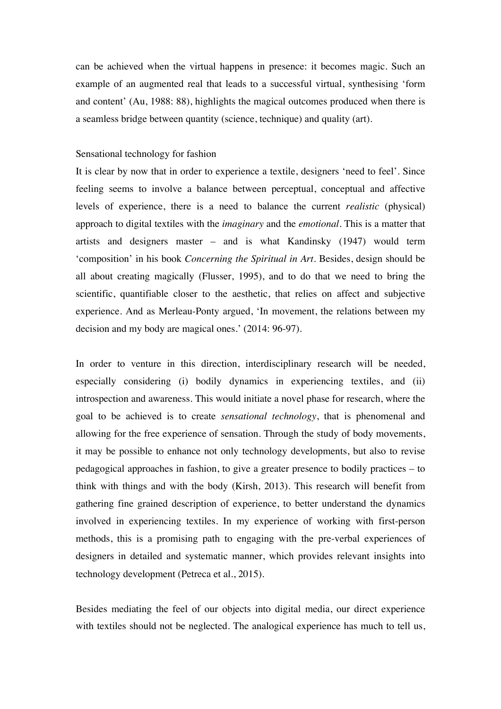can be achieved when the virtual happens in presence: it becomes magic. Such an example of an augmented real that leads to a successful virtual, synthesising 'form and content' (Au, 1988: 88), highlights the magical outcomes produced when there is a seamless bridge between quantity (science, technique) and quality (art).

#### Sensational technology for fashion

It is clear by now that in order to experience a textile, designers 'need to feel'. Since feeling seems to involve a balance between perceptual, conceptual and affective levels of experience, there is a need to balance the current *realistic* (physical) approach to digital textiles with the *imaginary* and the *emotional*. This is a matter that artists and designers master – and is what Kandinsky (1947) would term 'composition' in his book *Concerning the Spiritual in Art*. Besides, design should be all about creating magically (Flusser, 1995), and to do that we need to bring the scientific, quantifiable closer to the aesthetic, that relies on affect and subjective experience. And as Merleau-Ponty argued, 'In movement, the relations between my decision and my body are magical ones.' (2014: 96-97).

In order to venture in this direction, interdisciplinary research will be needed, especially considering (i) bodily dynamics in experiencing textiles, and (ii) introspection and awareness. This would initiate a novel phase for research, where the goal to be achieved is to create *sensational technology*, that is phenomenal and allowing for the free experience of sensation. Through the study of body movements, it may be possible to enhance not only technology developments, but also to revise pedagogical approaches in fashion, to give a greater presence to bodily practices – to think with things and with the body (Kirsh, 2013). This research will benefit from gathering fine grained description of experience, to better understand the dynamics involved in experiencing textiles. In my experience of working with first-person methods, this is a promising path to engaging with the pre-verbal experiences of designers in detailed and systematic manner, which provides relevant insights into technology development (Petreca et al., 2015).

Besides mediating the feel of our objects into digital media, our direct experience with textiles should not be neglected. The analogical experience has much to tell us,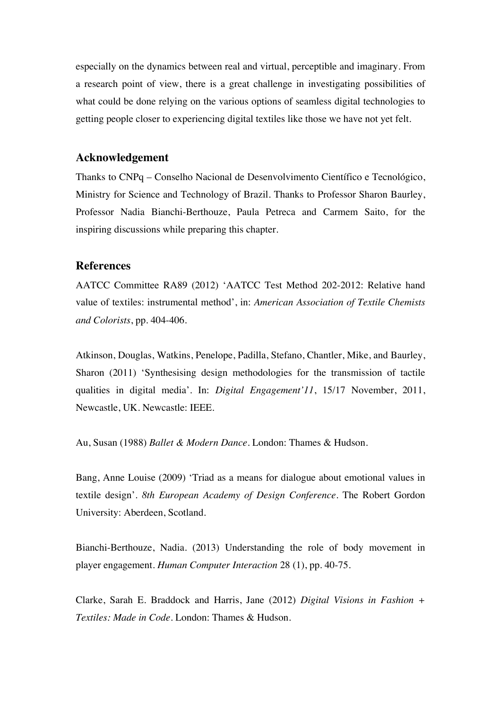especially on the dynamics between real and virtual, perceptible and imaginary. From a research point of view, there is a great challenge in investigating possibilities of what could be done relying on the various options of seamless digital technologies to getting people closer to experiencing digital textiles like those we have not yet felt.

## **Acknowledgement**

Thanks to CNPq – Conselho Nacional de Desenvolvimento Científico e Tecnológico, Ministry for Science and Technology of Brazil. Thanks to Professor Sharon Baurley, Professor Nadia Bianchi-Berthouze, Paula Petreca and Carmem Saito, for the inspiring discussions while preparing this chapter.

## **References**

AATCC Committee RA89 (2012) 'AATCC Test Method 202-2012: Relative hand value of textiles: instrumental method', in: *American Association of Textile Chemists and Colorists*, pp. 404-406.

Atkinson, Douglas, Watkins, Penelope, Padilla, Stefano, Chantler, Mike, and Baurley, Sharon (2011) 'Synthesising design methodologies for the transmission of tactile qualities in digital media'. In: *Digital Engagement'11*, 15/17 November, 2011, Newcastle, UK. Newcastle: IEEE.

Au, Susan (1988) *Ballet & Modern Dance.* London: Thames & Hudson.

Bang, Anne Louise (2009) 'Triad as a means for dialogue about emotional values in textile design'. *8th European Academy of Design Conference.* The Robert Gordon University: Aberdeen, Scotland.

Bianchi-Berthouze, Nadia. (2013) Understanding the role of body movement in player engagement. *Human Computer Interaction* 28 (1), pp. 40-75.

Clarke, Sarah E. Braddock and Harris, Jane (2012) *Digital Visions in Fashion + Textiles: Made in Code.* London: Thames & Hudson.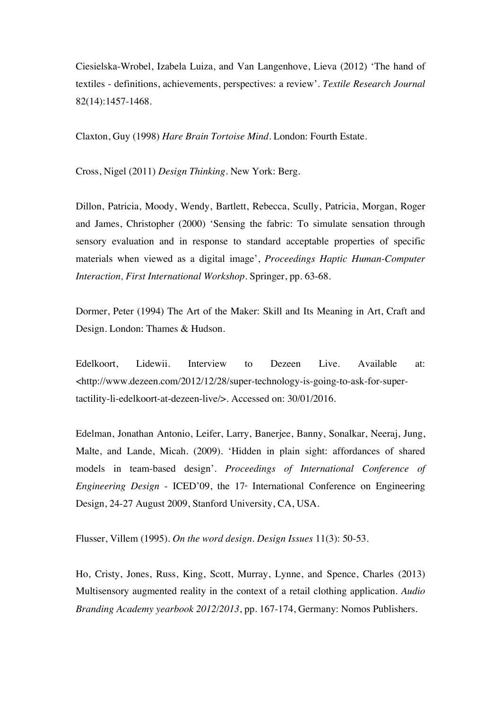Ciesielska-Wrobel, Izabela Luiza, and Van Langenhove, Lieva (2012) 'The hand of textiles - definitions, achievements, perspectives: a review'. *Textile Research Journal* 82(14):1457-1468.

Claxton, Guy (1998) *Hare Brain Tortoise Mind*. London: Fourth Estate.

Cross, Nigel (2011) *Design Thinking*. New York: Berg.

Dillon, Patricia, Moody, Wendy, Bartlett, Rebecca, Scully, Patricia, Morgan, Roger and James, Christopher (2000) 'Sensing the fabric: To simulate sensation through sensory evaluation and in response to standard acceptable properties of specific materials when viewed as a digital image', *Proceedings Haptic Human-Computer Interaction, First International Workshop.* Springer, pp. 63-68.

Dormer, Peter (1994) The Art of the Maker: Skill and Its Meaning in Art, Craft and Design. London: Thames & Hudson.

Edelkoort, Lidewii. Interview to Dezeen Live. Available at: <http://www.dezeen.com/2012/12/28/super-technology-is-going-to-ask-for-supertactility-li-edelkoort-at-dezeen-live/>. Accessed on: 30/01/2016.

Edelman, Jonathan Antonio, Leifer, Larry, Banerjee, Banny, Sonalkar, Neeraj, Jung, Malte, and Lande, Micah. (2009). 'Hidden in plain sight: affordances of shared models in team-based design'. *Proceedings of International Conference of Engineering Design* - ICED'09, the 17<sup>th</sup> International Conference on Engineering Design, 24-27 August 2009, Stanford University, CA, USA.

Flusser, Villem (1995). *On the word design. Design Issues* 11(3): 50-53.

Ho, Cristy, Jones, Russ, King, Scott, Murray, Lynne, and Spence, Charles (2013) Multisensory augmented reality in the context of a retail clothing application. *Audio Branding Academy yearbook 2012/2013*, pp. 167-174, Germany: Nomos Publishers.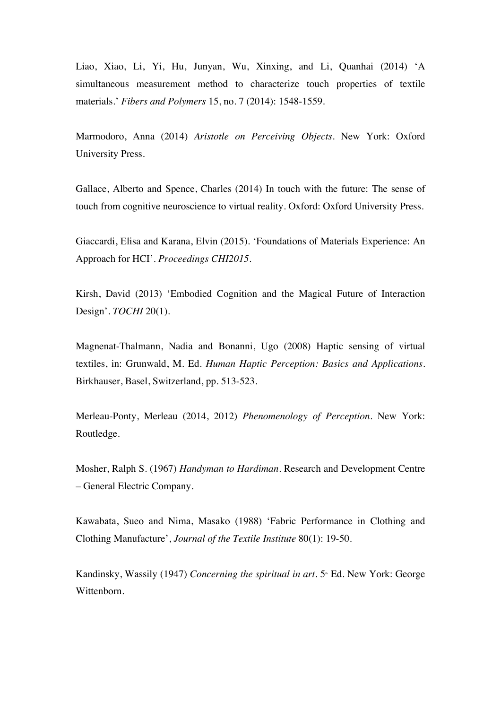Liao, Xiao, Li, Yi, Hu, Junyan, Wu, Xinxing, and Li, Quanhai (2014) 'A simultaneous measurement method to characterize touch properties of textile materials.' *Fibers and Polymers* 15, no. 7 (2014): 1548-1559.

Marmodoro, Anna (2014) *Aristotle on Perceiving Objects.* New York: Oxford University Press.

Gallace, Alberto and Spence, Charles (2014) In touch with the future: The sense of touch from cognitive neuroscience to virtual reality. Oxford: Oxford University Press.

Giaccardi, Elisa and Karana, Elvin (2015). 'Foundations of Materials Experience: An Approach for HCI'. *Proceedings CHI2015*.

Kirsh, David (2013) 'Embodied Cognition and the Magical Future of Interaction Design'. *TOCHI* 20(1).

Magnenat-Thalmann, Nadia and Bonanni, Ugo (2008) Haptic sensing of virtual textiles, in: Grunwald, M. Ed. *Human Haptic Perception: Basics and Applications.* Birkhauser, Basel, Switzerland, pp. 513-523.

Merleau-Ponty, Merleau (2014, 2012) *Phenomenology of Perception*. New York: Routledge.

Mosher, Ralph S. (1967) *Handyman to Hardiman.* Research and Development Centre – General Electric Company.

Kawabata, Sueo and Nima, Masako (1988) 'Fabric Performance in Clothing and Clothing Manufacture', *Journal of the Textile Institute* 80(1): 19-50.

Kandinsky, Wassily (1947) *Concerning the spiritual in art.* 5<sup>th</sup> Ed. New York: George Wittenborn.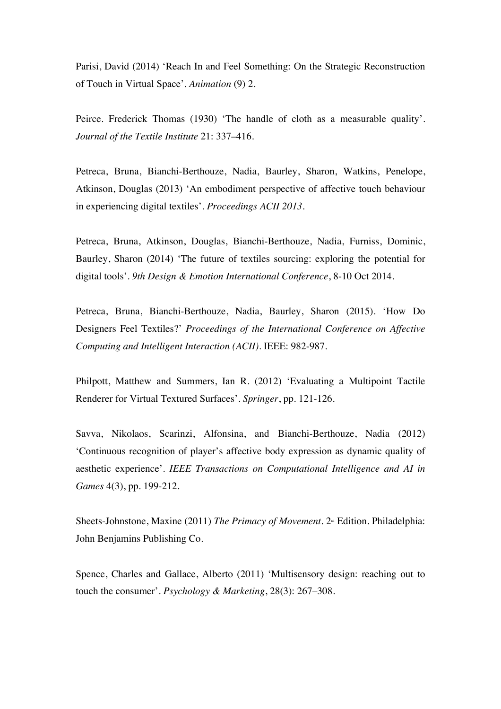Parisi, David (2014) 'Reach In and Feel Something: On the Strategic Reconstruction of Touch in Virtual Space'. *Animation* (9) 2.

Peirce. Frederick Thomas (1930) 'The handle of cloth as a measurable quality'. *Journal of the Textile Institute* 21: 337–416.

Petreca, Bruna, Bianchi-Berthouze, Nadia, Baurley, Sharon, Watkins, Penelope, Atkinson, Douglas (2013) 'An embodiment perspective of affective touch behaviour in experiencing digital textiles'. *Proceedings ACII 2013*.

Petreca, Bruna, Atkinson, Douglas, Bianchi-Berthouze, Nadia, Furniss, Dominic, Baurley, Sharon (2014) 'The future of textiles sourcing: exploring the potential for digital tools'. *9th Design & Emotion International Conference*, 8-10 Oct 2014.

Petreca, Bruna, Bianchi-Berthouze, Nadia, Baurley, Sharon (2015). 'How Do Designers Feel Textiles?' *Proceedings of the International Conference on Affective Computing and Intelligent Interaction (ACII).* IEEE: 982-987.

Philpott, Matthew and Summers, Ian R. (2012) 'Evaluating a Multipoint Tactile Renderer for Virtual Textured Surfaces'. *Springer*, pp. 121-126.

Savva, Nikolaos, Scarinzi, Alfonsina, and Bianchi-Berthouze, Nadia (2012) 'Continuous recognition of player's affective body expression as dynamic quality of aesthetic experience'. *IEEE Transactions on Computational Intelligence and AI in Games* 4(3), pp. 199-212.

Sheets-Johnstone, Maxine (2011) *The Primacy of Movement*. 2<sup><sup>d</sup> Edition. Philadelphia:</sup> John Benjamins Publishing Co.

Spence, Charles and Gallace, Alberto (2011) 'Multisensory design: reaching out to touch the consumer'. *Psychology & Marketing*, 28(3): 267–308.